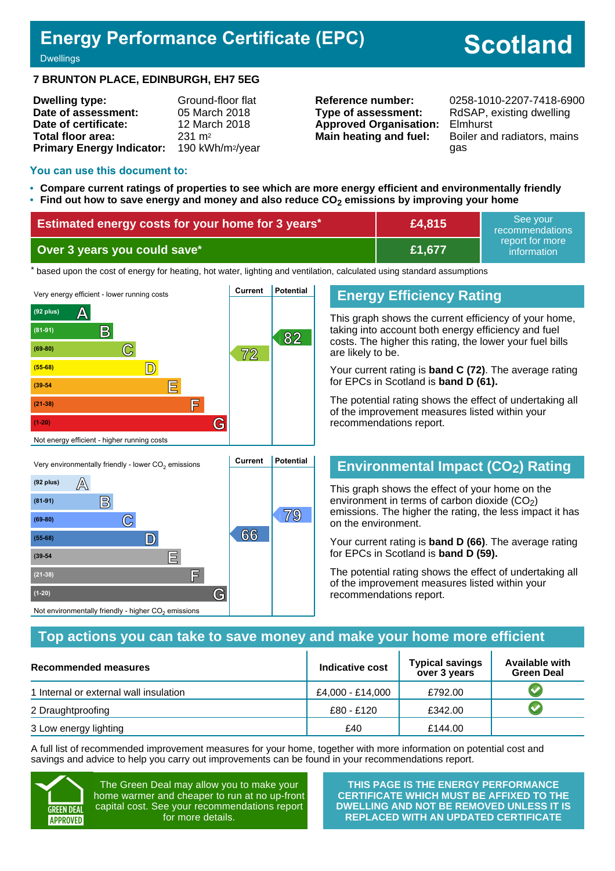## **Energy Performance Certificate (EPC)**

# **Scotland**

**Dwellings** 

#### **7 BRUNTON PLACE, EDINBURGH, EH7 5EG**

| <b>Dwelling type:</b>            | Ground-floor flat            |
|----------------------------------|------------------------------|
| Date of assessment:              | 05 March 2018                |
| Date of certificate:             | 12 March 2018                |
| Total floor area:                | $231 \text{ m}^2$            |
| <b>Primary Energy Indicator:</b> | 190 kWh/m <sup>2</sup> /year |

**Type of assessment:** RdSAP, existing dwelling **Approved Organisation:** Elmhurst

**Reference number:** 0258-1010-2207-7418-6900 **Main heating and fuel:** Boiler and radiators, mains gas

#### **You can use this document to:**

**(39-54 E**

**(21-38) F**

Not environmentally friendly - higher  $\mathrm{CO}_2$  emissions

**(1-20) G**

- **Compare current ratings of properties to see which are more energy efficient and environmentally friendly**
- **Find out how to save energy and money and also reduce CO2 emissions by improving your home**

| Estimated energy costs for your home for 3 years* | £4,815 | See vour<br>recommendations    |
|---------------------------------------------------|--------|--------------------------------|
| Over 3 years you could save* \                    | £1,677 | report for more<br>information |

the based upon the cost of energy for heating, hot water, lighting and ventilation, calculated using standard assumptions



## **Energy Efficiency Rating**

This graph shows the current efficiency of your home, taking into account both energy efficiency and fuel costs. The higher this rating, the lower your fuel bills are likely to be.

Your current rating is **band C (72)**. The average rating for EPCs in Scotland is **band D (61).**

The potential rating shows the effect of undertaking all of the improvement measures listed within your recommendations report.

## **Environmental Impact (CO2) Rating**

This graph shows the effect of your home on the environment in terms of carbon dioxide  $(CO<sub>2</sub>)$ emissions. The higher the rating, the less impact it has on the environment.

Your current rating is **band D (66)**. The average rating for EPCs in Scotland is **band D (59).**

The potential rating shows the effect of undertaking all of the improvement measures listed within your recommendations report.

### **Top actions you can take to save money and make your home more efficient**

| <b>Recommended measures</b>            | Indicative cost  | <b>Typical savings</b><br>over 3 years | <b>Available with</b><br><b>Green Deal</b> |
|----------------------------------------|------------------|----------------------------------------|--------------------------------------------|
| 1 Internal or external wall insulation | £4.000 - £14.000 | £792.00                                |                                            |
| 2 Draughtproofing                      | £80 - £120       | £342.00                                |                                            |
| 3 Low energy lighting                  | £40              | £144.00                                |                                            |

A full list of recommended improvement measures for your home, together with more information on potential cost and savings and advice to help you carry out improvements can be found in your recommendations report.



The Green Deal may allow you to make your home warmer and cheaper to run at no up-front capital cost. See your recommendations report for more details.

**THIS PAGE IS THE ENERGY PERFORMANCE CERTIFICATE WHICH MUST BE AFFIXED TO THE DWELLING AND NOT BE REMOVED UNLESS IT IS REPLACED WITH AN UPDATED CERTIFICATE**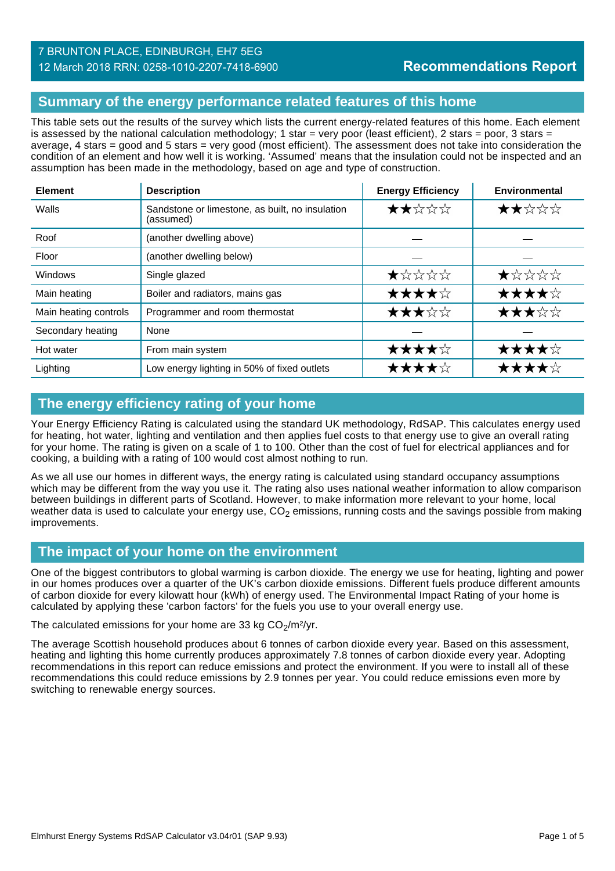## **Summary of the energy performance related features of this home**

This table sets out the results of the survey which lists the current energy-related features of this home. Each element is assessed by the national calculation methodology; 1 star = very poor (least efficient), 2 stars = poor, 3 stars = average, 4 stars = good and 5 stars = very good (most efficient). The assessment does not take into consideration the condition of an element and how well it is working. 'Assumed' means that the insulation could not be inspected and an assumption has been made in the methodology, based on age and type of construction.

| <b>Element</b>        | <b>Description</b>                                           | <b>Energy Efficiency</b> | Environmental |
|-----------------------|--------------------------------------------------------------|--------------------------|---------------|
| Walls                 | Sandstone or limestone, as built, no insulation<br>(assumed) | ★★☆☆☆                    | ★★☆☆☆         |
| Roof                  | (another dwelling above)                                     |                          |               |
| Floor                 | (another dwelling below)                                     |                          |               |
| Windows               | Single glazed                                                | ★☆☆☆☆                    | ★☆☆☆☆         |
| Main heating          | Boiler and radiators, mains gas                              | ★★★★☆                    | ★★★★☆         |
| Main heating controls | Programmer and room thermostat                               | ★★★☆☆                    | ★★★☆☆         |
| Secondary heating     | None                                                         |                          |               |
| Hot water             | From main system                                             | ★★★★☆                    | ★★★★☆         |
| Lighting              | Low energy lighting in 50% of fixed outlets                  | ★★★★☆                    | ★★★★☆         |

## **The energy efficiency rating of your home**

Your Energy Efficiency Rating is calculated using the standard UK methodology, RdSAP. This calculates energy used for heating, hot water, lighting and ventilation and then applies fuel costs to that energy use to give an overall rating for your home. The rating is given on a scale of 1 to 100. Other than the cost of fuel for electrical appliances and for cooking, a building with a rating of 100 would cost almost nothing to run.

As we all use our homes in different ways, the energy rating is calculated using standard occupancy assumptions which may be different from the way you use it. The rating also uses national weather information to allow comparison between buildings in different parts of Scotland. However, to make information more relevant to your home, local weather data is used to calculate your energy use,  $CO<sub>2</sub>$  emissions, running costs and the savings possible from making improvements.

### **The impact of your home on the environment**

One of the biggest contributors to global warming is carbon dioxide. The energy we use for heating, lighting and power in our homes produces over a quarter of the UK's carbon dioxide emissions. Different fuels produce different amounts of carbon dioxide for every kilowatt hour (kWh) of energy used. The Environmental Impact Rating of your home is calculated by applying these 'carbon factors' for the fuels you use to your overall energy use.

The calculated emissions for your home are 33 kg  $CO<sub>2</sub>/m<sup>2</sup>/yr$ .

The average Scottish household produces about 6 tonnes of carbon dioxide every year. Based on this assessment, heating and lighting this home currently produces approximately 7.8 tonnes of carbon dioxide every year. Adopting recommendations in this report can reduce emissions and protect the environment. If you were to install all of these recommendations this could reduce emissions by 2.9 tonnes per year. You could reduce emissions even more by switching to renewable energy sources.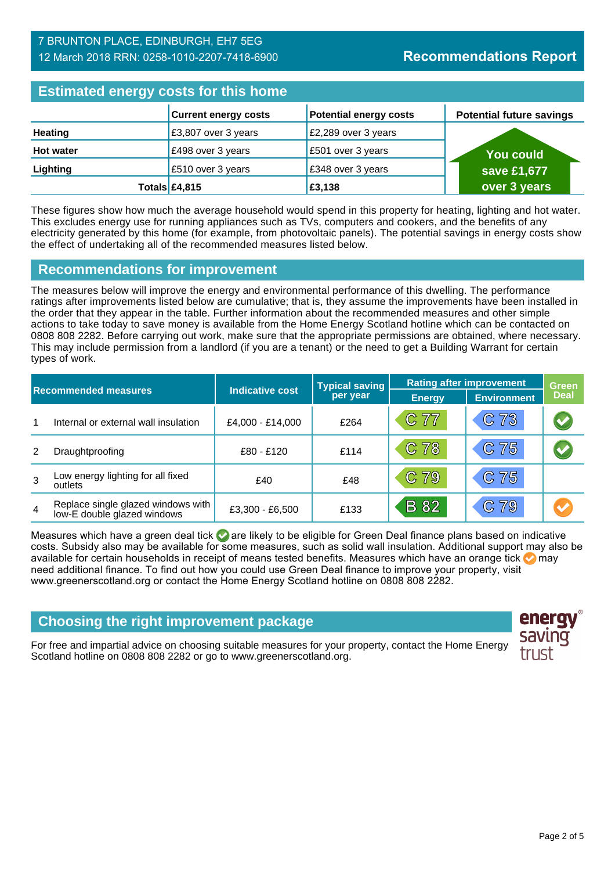### 7 BRUNTON PLACE, EDINBURGH, EH7 5EG 12 March 2018 RRN: 0258-1010-2207-7418-6900

## **Estimated energy costs for this home**

| <b>EDITION OF STRING AND TO MANY HOLDING</b> |                             |                               |                                 |  |
|----------------------------------------------|-----------------------------|-------------------------------|---------------------------------|--|
|                                              | <b>Current energy costs</b> | <b>Potential energy costs</b> | <b>Potential future savings</b> |  |
| <b>Heating</b>                               | £3,807 over 3 years         | £2,289 over 3 years           |                                 |  |
| <b>Hot water</b>                             | £498 over 3 years           | £501 over 3 years             | <b>You could</b>                |  |
| Lighting                                     | £510 over 3 years           | £348 over 3 years             | save £1,677                     |  |
|                                              | Totals $£4,815$             | £3,138                        | over 3 years                    |  |

These figures show how much the average household would spend in this property for heating, lighting and hot water. This excludes energy use for running appliances such as TVs, computers and cookers, and the benefits of any electricity generated by this home (for example, from photovoltaic panels). The potential savings in energy costs show the effect of undertaking all of the recommended measures listed below.

### **Recommendations for improvement**

The measures below will improve the energy and environmental performance of this dwelling. The performance ratings after improvements listed below are cumulative; that is, they assume the improvements have been installed in the order that they appear in the table. Further information about the recommended measures and other simple actions to take today to save money is available from the Home Energy Scotland hotline which can be contacted on 0808 808 2282. Before carrying out work, make sure that the appropriate permissions are obtained, where necessary. This may include permission from a landlord (if you are a tenant) or the need to get a Building Warrant for certain types of work.

| <b>Recommended measures</b> |                                                                   | <b>Indicative cost</b> | <b>Typical saving</b> | <b>Rating after improvement</b> |                    | <b>Green</b> |
|-----------------------------|-------------------------------------------------------------------|------------------------|-----------------------|---------------------------------|--------------------|--------------|
|                             |                                                                   |                        | per year              | <b>Energy</b>                   | <b>Environment</b> | <b>Deal</b>  |
| 1                           | Internal or external wall insulation                              | £4,000 - £14,000       | £264                  | C 77                            | C 73               | $\bigcirc$   |
| 2                           | Draughtproofing                                                   | £80 - £120             | £114                  | C 78                            | C 75               |              |
| 3                           | Low energy lighting for all fixed<br>outlets                      | £40                    | £48                   | C 79                            | C 75               |              |
| $\overline{4}$              | Replace single glazed windows with<br>low-E double glazed windows | £3,300 - £6,500        | £133                  | <b>B</b> 82                     | C79                |              |

Measures which have a green deal tick  $\blacktriangledown$  are likely to be eligible for Green Deal finance plans based on indicative costs. Subsidy also may be available for some measures, such as solid wall insulation. Additional support may also be available for certain households in receipt of means tested benefits. Measures which have an orange tick  $\bullet$  may need additional finance. To find out how you could use Green Deal finance to improve your property, visit www.greenerscotland.org or contact the Home Energy Scotland hotline on 0808 808 2282.

## **Choosing the right improvement package**

For free and impartial advice on choosing suitable measures for your property, contact the Home Energy Scotland hotline on 0808 808 2282 or go to www.greenerscotland.org.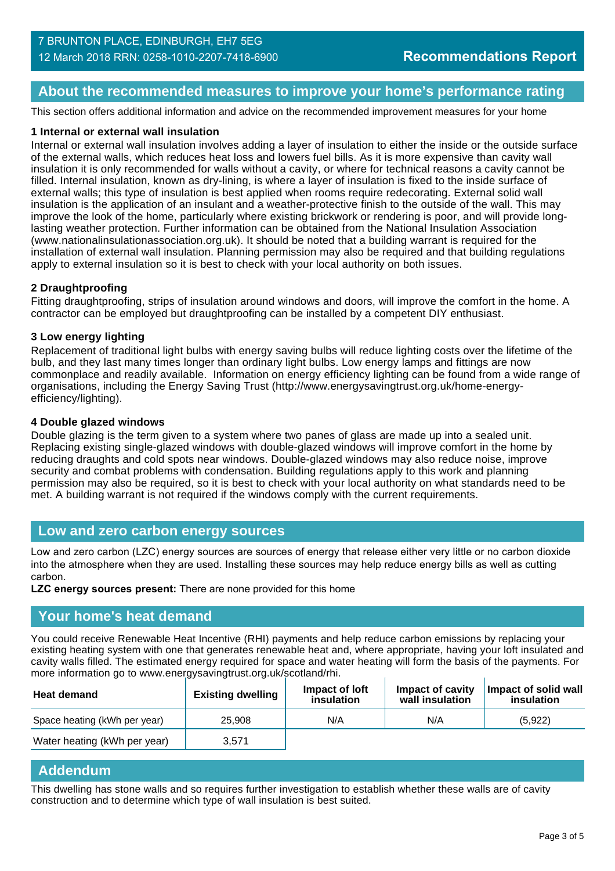## **About the recommended measures to improve your home's performance rating**

This section offers additional information and advice on the recommended improvement measures for your home

#### **1 Internal or external wall insulation**

Internal or external wall insulation involves adding a layer of insulation to either the inside or the outside surface of the external walls, which reduces heat loss and lowers fuel bills. As it is more expensive than cavity wall insulation it is only recommended for walls without a cavity, or where for technical reasons a cavity cannot be filled. Internal insulation, known as dry-lining, is where a layer of insulation is fixed to the inside surface of external walls; this type of insulation is best applied when rooms require redecorating. External solid wall insulation is the application of an insulant and a weather-protective finish to the outside of the wall. This may improve the look of the home, particularly where existing brickwork or rendering is poor, and will provide longlasting weather protection. Further information can be obtained from the National Insulation Association (www.nationalinsulationassociation.org.uk). It should be noted that a building warrant is required for the installation of external wall insulation. Planning permission may also be required and that building regulations apply to external insulation so it is best to check with your local authority on both issues.

#### **2 Draughtproofing**

Fitting draughtproofing, strips of insulation around windows and doors, will improve the comfort in the home. A contractor can be employed but draughtproofing can be installed by a competent DIY enthusiast.

#### **3 Low energy lighting**

Replacement of traditional light bulbs with energy saving bulbs will reduce lighting costs over the lifetime of the bulb, and they last many times longer than ordinary light bulbs. Low energy lamps and fittings are now commonplace and readily available. Information on energy efficiency lighting can be found from a wide range of organisations, including the Energy Saving Trust (http://www.energysavingtrust.org.uk/home-energyefficiency/lighting).

#### **4 Double glazed windows**

Double glazing is the term given to a system where two panes of glass are made up into a sealed unit. Replacing existing single-glazed windows with double-glazed windows will improve comfort in the home by reducing draughts and cold spots near windows. Double-glazed windows may also reduce noise, improve security and combat problems with condensation. Building regulations apply to this work and planning permission may also be required, so it is best to check with your local authority on what standards need to be met. A building warrant is not required if the windows comply with the current requirements.

#### **Low and zero carbon energy sources**

Low and zero carbon (LZC) energy sources are sources of energy that release either very little or no carbon dioxide into the atmosphere when they are used. Installing these sources may help reduce energy bills as well as cutting carbon.

**LZC energy sources present:** There are none provided for this home

#### **Your home's heat demand**

You could receive Renewable Heat Incentive (RHI) payments and help reduce carbon emissions by replacing your existing heating system with one that generates renewable heat and, where appropriate, having your loft insulated and cavity walls filled. The estimated energy required for space and water heating will form the basis of the payments. For more information go to www.energysavingtrust.org.uk/scotland/rhi.

| <b>Heat demand</b>           | <b>Existing dwelling</b> | Impact of loft<br>insulation | Impact of cavity<br>wall insulation | Impact of solid wall<br>insulation |
|------------------------------|--------------------------|------------------------------|-------------------------------------|------------------------------------|
| Space heating (kWh per year) | 25,908                   | N/A                          | N/A                                 | (5,922)                            |
| Water heating (kWh per year) | 3.571                    |                              |                                     |                                    |

#### **Addendum**

This dwelling has stone walls and so requires further investigation to establish whether these walls are of cavity construction and to determine which type of wall insulation is best suited.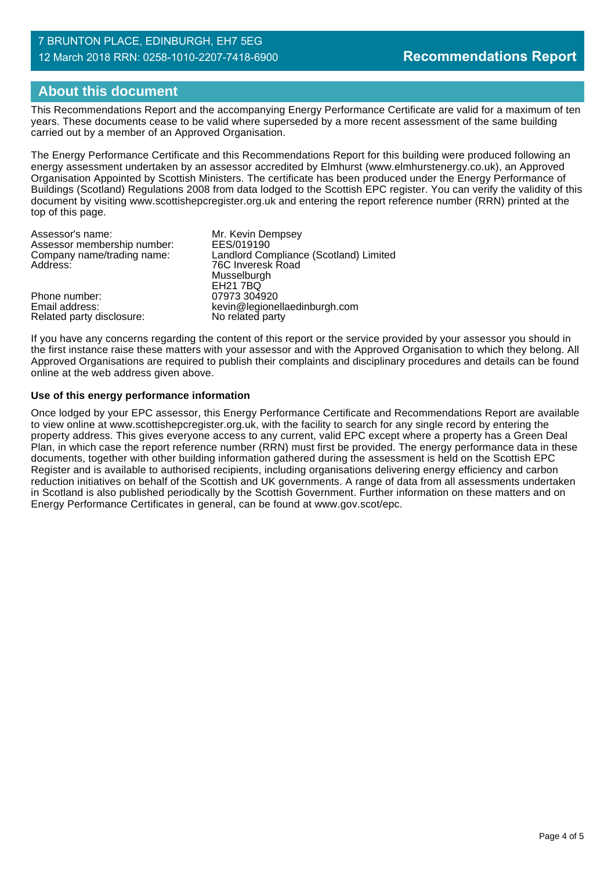#### 7 BRUNTON PLACE, EDINBURGH, EH7 5EG 12 March 2018 RRN: 0258-1010-2207-7418-6900

## **About this document**

This Recommendations Report and the accompanying Energy Performance Certificate are valid for a maximum of ten years. These documents cease to be valid where superseded by a more recent assessment of the same building carried out by a member of an Approved Organisation.

The Energy Performance Certificate and this Recommendations Report for this building were produced following an energy assessment undertaken by an assessor accredited by Elmhurst (www.elmhurstenergy.co.uk), an Approved Organisation Appointed by Scottish Ministers. The certificate has been produced under the Energy Performance of Buildings (Scotland) Regulations 2008 from data lodged to the Scottish EPC register. You can verify the validity of this document by visiting www.scottishepcregister.org.uk and entering the report reference number (RRN) printed at the top of this page.

| Assessor's name:            | Mr. Kevin Dempsey                      |
|-----------------------------|----------------------------------------|
| Assessor membership number: | EES/019190                             |
| Company name/trading name:  | Landlord Compliance (Scotland) Limited |
| Address:                    | 76C Inveresk Road                      |
|                             | Musselburgh                            |
|                             | <b>EH21 7BQ</b>                        |
| Phone number:               | 07973 304920                           |
| Email address:              | kevin@legionellaedinburgh.com          |
| Related party disclosure:   | No related party                       |

If you have any concerns regarding the content of this report or the service provided by your assessor you should in the first instance raise these matters with your assessor and with the Approved Organisation to which they belong. All Approved Organisations are required to publish their complaints and disciplinary procedures and details can be found online at the web address given above.

#### **Use of this energy performance information**

Once lodged by your EPC assessor, this Energy Performance Certificate and Recommendations Report are available to view online at www.scottishepcregister.org.uk, with the facility to search for any single record by entering the property address. This gives everyone access to any current, valid EPC except where a property has a Green Deal Plan, in which case the report reference number (RRN) must first be provided. The energy performance data in these documents, together with other building information gathered during the assessment is held on the Scottish EPC Register and is available to authorised recipients, including organisations delivering energy efficiency and carbon reduction initiatives on behalf of the Scottish and UK governments. A range of data from all assessments undertaken in Scotland is also published periodically by the Scottish Government. Further information on these matters and on Energy Performance Certificates in general, can be found at www.gov.scot/epc.